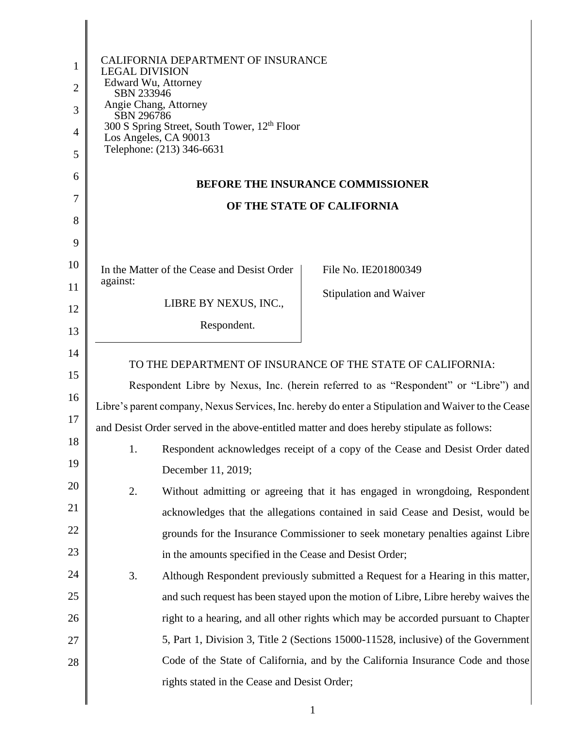| 1<br>$\overline{2}$<br>3<br>4<br>5<br>6<br>7<br>8 | <b>CALIFORNIA DEPARTMENT OF INSURANCE</b><br><b>LEGAL DIVISION</b><br>Edward Wu, Attorney<br>SBN 233946<br>Angie Chang, Attorney<br>SBN 296786<br>300 S Spring Street, South Tower, 12 <sup>th</sup> Floor<br>Los Angeles, CA 90013<br>Telephone: (213) 346-6631 | <b>BEFORE THE INSURANCE COMMISSIONER</b><br>OF THE STATE OF CALIFORNIA             |  |
|---------------------------------------------------|------------------------------------------------------------------------------------------------------------------------------------------------------------------------------------------------------------------------------------------------------------------|------------------------------------------------------------------------------------|--|
| 9                                                 |                                                                                                                                                                                                                                                                  |                                                                                    |  |
| 10                                                | In the Matter of the Cease and Desist Order                                                                                                                                                                                                                      | File No. IE201800349                                                               |  |
| 11                                                | against:                                                                                                                                                                                                                                                         | Stipulation and Waiver                                                             |  |
| 12                                                | LIBRE BY NEXUS, INC.,                                                                                                                                                                                                                                            |                                                                                    |  |
| 13                                                | Respondent.                                                                                                                                                                                                                                                      |                                                                                    |  |
| 14                                                | TO THE DEPARTMENT OF INSURANCE OF THE STATE OF CALIFORNIA:                                                                                                                                                                                                       |                                                                                    |  |
| 15                                                | Respondent Libre by Nexus, Inc. (herein referred to as "Respondent" or "Libre") and                                                                                                                                                                              |                                                                                    |  |
| 16                                                | Libre's parent company, Nexus Services, Inc. hereby do enter a Stipulation and Waiver to the Cease                                                                                                                                                               |                                                                                    |  |
| 17                                                | and Desist Order served in the above-entitled matter and does hereby stipulate as follows:                                                                                                                                                                       |                                                                                    |  |
| 18                                                | 1.                                                                                                                                                                                                                                                               | Respondent acknowledges receipt of a copy of the Cease and Desist Order dated      |  |
| 19                                                | December 11, 2019;                                                                                                                                                                                                                                               |                                                                                    |  |
| 20                                                | 2.                                                                                                                                                                                                                                                               | Without admitting or agreeing that it has engaged in wrongdoing, Respondent        |  |
| 21                                                |                                                                                                                                                                                                                                                                  | acknowledges that the allegations contained in said Cease and Desist, would be     |  |
| 22                                                |                                                                                                                                                                                                                                                                  | grounds for the Insurance Commissioner to seek monetary penalties against Libre    |  |
| 23                                                | in the amounts specified in the Cease and Desist Order;                                                                                                                                                                                                          |                                                                                    |  |
| 24                                                | 3.                                                                                                                                                                                                                                                               | Although Respondent previously submitted a Request for a Hearing in this matter,   |  |
| 25                                                |                                                                                                                                                                                                                                                                  | and such request has been stayed upon the motion of Libre, Libre hereby waives the |  |
| 26                                                |                                                                                                                                                                                                                                                                  | right to a hearing, and all other rights which may be accorded pursuant to Chapter |  |
| 27                                                |                                                                                                                                                                                                                                                                  | 5, Part 1, Division 3, Title 2 (Sections 15000-11528, inclusive) of the Government |  |
| 28                                                |                                                                                                                                                                                                                                                                  | Code of the State of California, and by the California Insurance Code and those    |  |
|                                                   | rights stated in the Cease and Desist Order;                                                                                                                                                                                                                     |                                                                                    |  |
|                                                   |                                                                                                                                                                                                                                                                  |                                                                                    |  |

1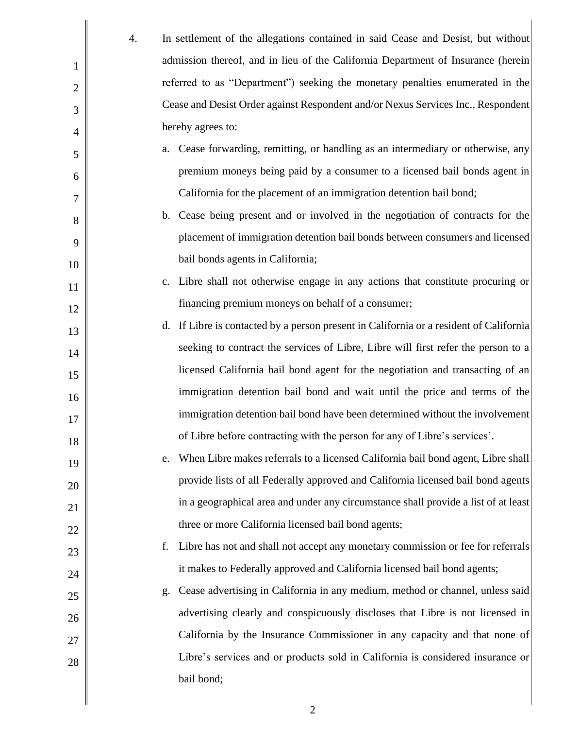|                | 4. | In settlement of the allegations contained in said Cease and Desist, but without       |
|----------------|----|----------------------------------------------------------------------------------------|
| $\mathbf 1$    |    | admission thereof, and in lieu of the California Department of Insurance (herein       |
| $\overline{2}$ |    | referred to as "Department") seeking the monetary penalties enumerated in the          |
| 3              |    | Cease and Desist Order against Respondent and/or Nexus Services Inc., Respondent       |
| 4              |    | hereby agrees to:                                                                      |
| 5              |    | a. Cease forwarding, remitting, or handling as an intermediary or otherwise, any       |
| 6              |    | premium moneys being paid by a consumer to a licensed bail bonds agent in              |
| 7              |    | California for the placement of an immigration detention bail bond;                    |
| 8              |    | b. Cease being present and or involved in the negotiation of contracts for the         |
| 9              |    | placement of immigration detention bail bonds between consumers and licensed           |
| 10             |    | bail bonds agents in California;                                                       |
| 11             |    | c. Libre shall not otherwise engage in any actions that constitute procuring or        |
| 12             |    | financing premium moneys on behalf of a consumer;                                      |
| 13             |    | d. If Libre is contacted by a person present in California or a resident of California |
| 14             |    | seeking to contract the services of Libre, Libre will first refer the person to a      |
| 15             |    | licensed California bail bond agent for the negotiation and transacting of an          |
| 16             |    | immigration detention bail bond and wait until the price and terms of the              |
| 17             |    | immigration detention bail bond have been determined without the involvement           |
| 18             |    | of Libre before contracting with the person for any of Libre's services'.              |
| 19             |    | When Libre makes referrals to a licensed California bail bond agent, Libre shall<br>e. |
| 20             |    | provide lists of all Federally approved and California licensed bail bond agents       |
| 21             |    | in a geographical area and under any circumstance shall provide a list of at least     |
| 22             |    | three or more California licensed bail bond agents;                                    |
| 23             |    | Libre has not and shall not accept any monetary commission or fee for referrals<br>f.  |
| 24             |    | it makes to Federally approved and California licensed bail bond agents;               |
| 25             |    | Cease advertising in California in any medium, method or channel, unless said<br>g.    |
| 26             |    | advertising clearly and conspicuously discloses that Libre is not licensed in          |
| 27             |    | California by the Insurance Commissioner in any capacity and that none of              |
| 28             |    | Libre's services and or products sold in California is considered insurance or         |
|                |    | bail bond;                                                                             |
|                |    |                                                                                        |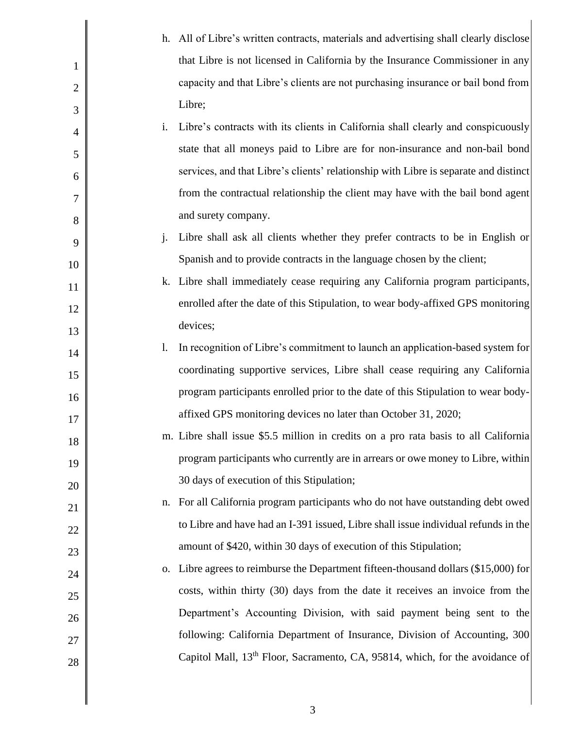|                |    | h. All of Libre's written contracts, materials and advertising shall clearly disclose    |
|----------------|----|------------------------------------------------------------------------------------------|
| 1              |    | that Libre is not licensed in California by the Insurance Commissioner in any            |
| $\overline{2}$ |    | capacity and that Libre's clients are not purchasing insurance or bail bond from         |
| 3              |    | Libre;                                                                                   |
| 4              | i. | Libre's contracts with its clients in California shall clearly and conspicuously         |
| 5              |    | state that all moneys paid to Libre are for non-insurance and non-bail bond              |
| 6              |    | services, and that Libre's clients' relationship with Libre is separate and distinct     |
| 7              |    | from the contractual relationship the client may have with the bail bond agent           |
| 8              |    | and surety company.                                                                      |
| 9              | j. | Libre shall ask all clients whether they prefer contracts to be in English or            |
| 10             |    | Spanish and to provide contracts in the language chosen by the client;                   |
| 11             |    | k. Libre shall immediately cease requiring any California program participants,          |
| 12             |    | enrolled after the date of this Stipulation, to wear body-affixed GPS monitoring         |
| 13             |    | devices;                                                                                 |
| 14             | 1. | In recognition of Libre's commitment to launch an application-based system for           |
| 15             |    | coordinating supportive services, Libre shall cease requiring any California             |
| 16             |    | program participants enrolled prior to the date of this Stipulation to wear body-        |
| 17             |    | affixed GPS monitoring devices no later than October 31, 2020;                           |
| 18             |    | m. Libre shall issue \$5.5 million in credits on a pro rata basis to all California      |
| 19             |    | program participants who currently are in arrears or owe money to Libre, within          |
| 20             |    | 30 days of execution of this Stipulation;                                                |
| 21             |    | n. For all California program participants who do not have outstanding debt owed         |
| 22             |    | to Libre and have had an I-391 issued, Libre shall issue individual refunds in the       |
| 23             |    | amount of \$420, within 30 days of execution of this Stipulation;                        |
| 24             | 0. | Libre agrees to reimburse the Department fifteen-thousand dollars (\$15,000) for         |
| 25             |    | costs, within thirty (30) days from the date it receives an invoice from the             |
| 26             |    | Department's Accounting Division, with said payment being sent to the                    |
| 27             |    | following: California Department of Insurance, Division of Accounting, 300               |
| 28             |    | Capitol Mall, 13 <sup>th</sup> Floor, Sacramento, CA, 95814, which, for the avoidance of |
|                |    |                                                                                          |
|                |    |                                                                                          |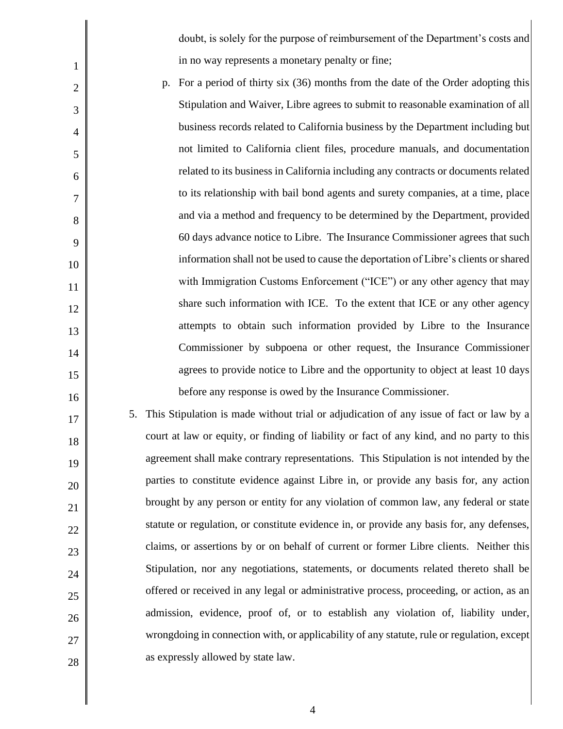doubt, is solely for the purpose of reimbursement of the Department's costs and in no way represents a monetary penalty or fine;

 p. For a period of thirty six (36) months from the date of the Order adopting this and via a method and frequency to be determined by the Department, provided 60 days advance notice to Libre. The Insurance Commissioner agrees that such share such information with ICE. To the extent that ICE or any other agency Stipulation and Waiver, Libre agrees to submit to reasonable examination of all business records related to California business by the Department including but not limited to California client files, procedure manuals, and documentation related to its business in California including any contracts or documents related to its relationship with bail bond agents and surety companies, at a time, place information shall not be used to cause the deportation of Libre's clients or shared with Immigration Customs Enforcement ("ICE") or any other agency that may attempts to obtain such information provided by Libre to the Insurance Commissioner by subpoena or other request, the Insurance Commissioner agrees to provide notice to Libre and the opportunity to object at least 10 days before any response is owed by the Insurance Commissioner.

1

2

3

4

5

6

7

8

9

10

11

12

13

14

15

16

17

18

19

20

21

22

23

24

25

26

27

28

 5. This Stipulation is made without trial or adjudication of any issue of fact or law by a agreement shall make contrary representations. This Stipulation is not intended by the brought by any person or entity for any violation of common law, any federal or state claims, or assertions by or on behalf of current or former Libre clients. Neither this court at law or equity, or finding of liability or fact of any kind, and no party to this parties to constitute evidence against Libre in, or provide any basis for, any action statute or regulation, or constitute evidence in, or provide any basis for, any defenses, Stipulation, nor any negotiations, statements, or documents related thereto shall be offered or received in any legal or administrative process, proceeding, or action, as an admission, evidence, proof of, or to establish any violation of, liability under, wrongdoing in connection with, or applicability of any statute, rule or regulation, except as expressly allowed by state law.

4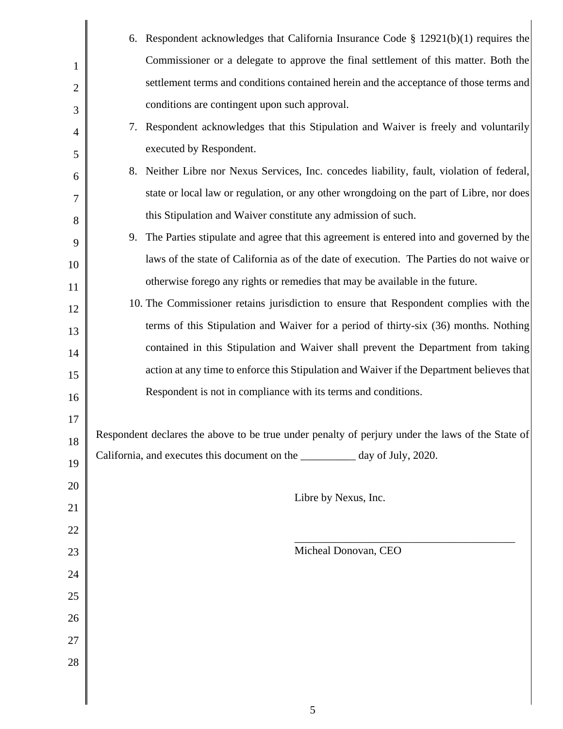|                | 6. Respondent acknowledges that California Insurance Code $\S$ 12921(b)(1) requires the          |
|----------------|--------------------------------------------------------------------------------------------------|
| $\mathbf 1$    | Commissioner or a delegate to approve the final settlement of this matter. Both the              |
| $\overline{2}$ | settlement terms and conditions contained herein and the acceptance of those terms and           |
| 3              | conditions are contingent upon such approval.                                                    |
| 4              | 7. Respondent acknowledges that this Stipulation and Waiver is freely and voluntarily            |
| 5              | executed by Respondent.                                                                          |
| 6              | 8. Neither Libre nor Nexus Services, Inc. concedes liability, fault, violation of federal,       |
| 7              | state or local law or regulation, or any other wrongdoing on the part of Libre, nor does         |
| 8              | this Stipulation and Waiver constitute any admission of such.                                    |
| 9              | 9. The Parties stipulate and agree that this agreement is entered into and governed by the       |
| 10             | laws of the state of California as of the date of execution. The Parties do not waive or         |
| 11             | otherwise forego any rights or remedies that may be available in the future.                     |
| 12             | 10. The Commissioner retains jurisdiction to ensure that Respondent complies with the            |
| 13             | terms of this Stipulation and Waiver for a period of thirty-six (36) months. Nothing             |
| 14             | contained in this Stipulation and Waiver shall prevent the Department from taking                |
| 15             | action at any time to enforce this Stipulation and Waiver if the Department believes that        |
| 16             | Respondent is not in compliance with its terms and conditions.                                   |
| 17             |                                                                                                  |
| 18             | Respondent declares the above to be true under penalty of perjury under the laws of the State of |
| 19             | California, and executes this document on the _________ day of July, 2020.                       |
| 20             |                                                                                                  |
| 21             | Libre by Nexus, Inc.                                                                             |
| 22             |                                                                                                  |
| 23             | Micheal Donovan, CEO                                                                             |
| 24             |                                                                                                  |
| 25             |                                                                                                  |
| 26             |                                                                                                  |
| 27             |                                                                                                  |
| 28             |                                                                                                  |
|                |                                                                                                  |
|                |                                                                                                  |